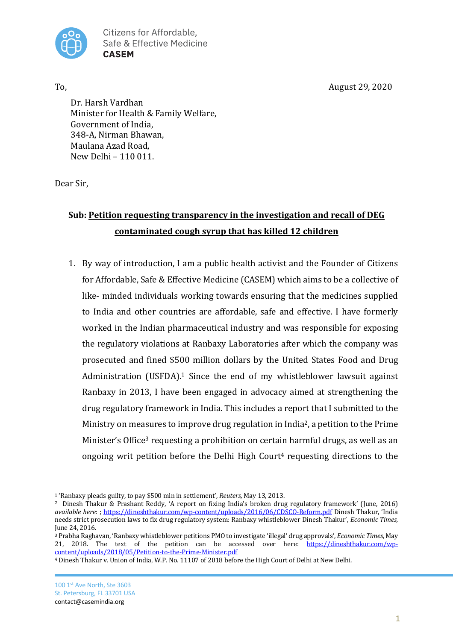To,  $\Delta = 29, 2020$ 



Citizens for Affordable. Safe & Effective Medicine **CASEM** 

Dr. Harsh Vardhan Minister for Health & Family Welfare, Government of India, 348-A, Nirman Bhawan, Maulana Azad Road,  $New Delhi - 110011$ 

Dear Sir.

# **Sub: Petition requesting transparency in the investigation and recall of DEG** contaminated cough syrup that has killed 12 children

1. By way of introduction, I am a public health activist and the Founder of Citizens for Affordable, Safe & Effective Medicine (CASEM) which aims to be a collective of like- minded individuals working towards ensuring that the medicines supplied to India and other countries are affordable, safe and effective. I have formerly worked in the Indian pharmaceutical industry and was responsible for exposing the regulatory violations at Ranbaxy Laboratories after which the company was prosecuted and fined \$500 million dollars by the United States Food and Drug Administration (USFDA).<sup>1</sup> Since the end of my whistleblower lawsuit against Ranbaxy in 2013, I have been engaged in advocacy aimed at strengthening the drug regulatory framework in India. This includes a report that I submitted to the Ministry on measures to improve drug regulation in India<sup>2</sup>, a petition to the Prime Minister's Office<sup>3</sup> requesting a prohibition on certain harmful drugs, as well as an ongoing writ petition before the Delhi High Court<sup>4</sup> requesting directions to the

<sup>&</sup>lt;sup>1</sup> 'Ranbaxy pleads guilty, to pay \$500 mln in settlement', *Reuters*, May 13, 2013.

<sup>&</sup>lt;sup>2</sup> Dinesh Thakur & Prashant Reddy, 'A report on fixing India's broken drug regulatory framework' (June, 2016) *available here*: ; https://dineshthakur.com/wp-content/uploads/2016/06/CDSCO-Reform.pdf Dinesh Thakur, 'India needs strict prosecution laws to fix drug regulatory system: Ranbaxy whistleblower Dinesh Thakur', *Economic Times*, June 24, 2016.

<sup>&</sup>lt;sup>3</sup> Prabha Raghavan, 'Ranbaxy whistleblower petitions PMO to investigate 'illegal' drug approvals', *Economic Times*, May 21, 2018. The text of the petition can be accessed over here: https://dineshthakur.com/wpcontent/uploads/2018/05/Petition-to-the-Prime-Minister.pdf

<sup>&</sup>lt;sup>4</sup> Dinesh Thakur v. Union of India, W.P. No. 11107 of 2018 before the High Court of Delhi at New Delhi.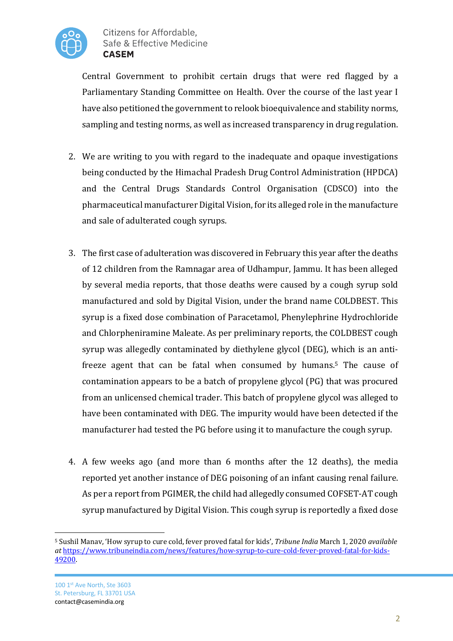

Central Government to prohibit certain drugs that were red flagged by a Parliamentary Standing Committee on Health. Over the course of the last year I have also petitioned the government to relook bioequivalence and stability norms, sampling and testing norms, as well as increased transparency in drug regulation.

- 2. We are writing to you with regard to the inadequate and opaque investigations being conducted by the Himachal Pradesh Drug Control Administration (HPDCA) and the Central Drugs Standards Control Organisation (CDSCO) into the pharmaceutical manufacturer Digital Vision, for its alleged role in the manufacture and sale of adulterated cough syrups.
- 3. The first case of adulteration was discovered in February this year after the deaths of 12 children from the Ramnagar area of Udhampur, Jammu. It has been alleged by several media reports, that those deaths were caused by a cough syrup sold manufactured and sold by Digital Vision, under the brand name COLDBEST. This syrup is a fixed dose combination of Paracetamol, Phenylephrine Hydrochloride and Chlorpheniramine Maleate. As per preliminary reports, the COLDBEST cough syrup was allegedly contaminated by diethylene glycol (DEG), which is an antifreeze agent that can be fatal when consumed by humans.<sup>5</sup> The cause of contamination appears to be a batch of propylene glycol (PG) that was procured from an unlicensed chemical trader. This batch of propylene glycol was alleged to have been contaminated with DEG. The impurity would have been detected if the manufacturer had tested the PG before using it to manufacture the cough syrup.
- 4. A few weeks ago (and more than 6 months after the 12 deaths), the media reported yet another instance of DEG poisoning of an infant causing renal failure. As per a report from PGIMER, the child had allegedly consumed COFSET-AT cough syrup manufactured by Digital Vision. This cough syrup is reportedly a fixed dose

<sup>&</sup>lt;sup>5</sup> Sushil Manav, 'How syrup to cure cold, fever proved fatal for kids', *Tribune India* March 1, 2020 *available at* https://www.tribuneindia.com/news/features/how-syrup-to-cure-cold-fever-proved-fatal-for-kids-49200.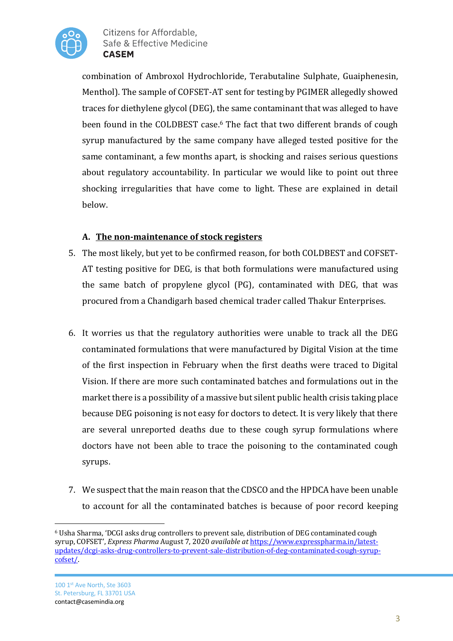

combination of Ambroxol Hydrochloride, Terabutaline Sulphate, Guaiphenesin, Menthol). The sample of COFSET-AT sent for testing by PGIMER allegedly showed traces for diethylene glycol (DEG), the same contaminant that was alleged to have been found in the COLDBEST case.<sup>6</sup> The fact that two different brands of cough syrup manufactured by the same company have alleged tested positive for the same contaminant, a few months apart, is shocking and raises serious questions about regulatory accountability. In particular we would like to point out three shocking irregularities that have come to light. These are explained in detail below. 

## A. The non-maintenance of stock registers

- 5. The most likely, but yet to be confirmed reason, for both COLDBEST and COFSET-AT testing positive for DEG, is that both formulations were manufactured using the same batch of propylene glycol  $(PG)$ , contaminated with DEG, that was procured from a Chandigarh based chemical trader called Thakur Enterprises.
- 6. It worries us that the regulatory authorities were unable to track all the DEG contaminated formulations that were manufactured by Digital Vision at the time of the first inspection in February when the first deaths were traced to Digital Vision. If there are more such contaminated batches and formulations out in the market there is a possibility of a massive but silent public health crisis taking place because DEG poisoning is not easy for doctors to detect. It is very likely that there are several unreported deaths due to these cough syrup formulations where doctors have not been able to trace the poisoning to the contaminated cough syrups.
- 7. We suspect that the main reason that the CDSCO and the HPDCA have been unable to account for all the contaminated batches is because of poor record keeping

<sup>&</sup>lt;sup>6</sup> Usha Sharma, 'DCGI asks drug controllers to prevent sale, distribution of DEG contaminated cough syrup, COFSET', *Express Pharma* August 7, 2020 *available at https://www.expresspharma.in/latest*updates/dcgi-asks-drug-controllers-to-prevent-sale-distribution-of-deg-contaminated-cough-syrupcofset/.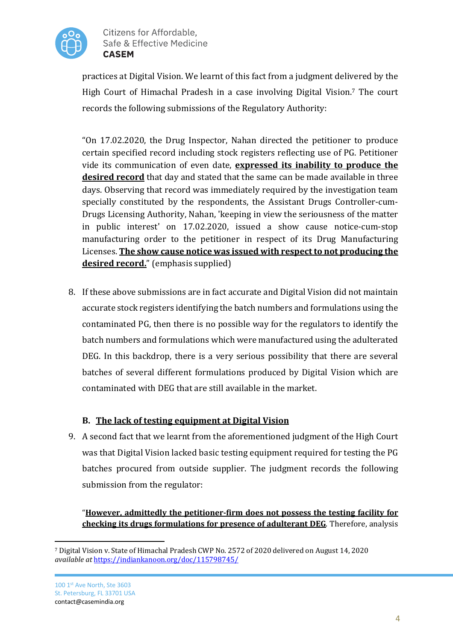

practices at Digital Vision. We learnt of this fact from a judgment delivered by the High Court of Himachal Pradesh in a case involving Digital Vision.<sup>7</sup> The court records the following submissions of the Regulatory Authority:

"On 17.02.2020, the Drug Inspector, Nahan directed the petitioner to produce certain specified record including stock registers reflecting use of PG. Petitioner vide its communication of even date, **expressed its inability to produce the desired record** that day and stated that the same can be made available in three days. Observing that record was immediately required by the investigation team specially constituted by the respondents, the Assistant Drugs Controller-cum-Drugs Licensing Authority, Nahan, 'keeping in view the seriousness of the matter in public interest' on 17.02.2020, issued a show cause notice-cum-stop manufacturing order to the petitioner in respect of its Drug Manufacturing Licenses. The show cause notice was issued with respect to not producing the **desired record.**" (emphasis supplied)

8. If these above submissions are in fact accurate and Digital Vision did not maintain accurate stock registers identifying the batch numbers and formulations using the contaminated PG, then there is no possible way for the regulators to identify the batch numbers and formulations which were manufactured using the adulterated DEG. In this backdrop, there is a very serious possibility that there are several batches of several different formulations produced by Digital Vision which are contaminated with DEG that are still available in the market.

## **B.** The lack of testing equipment at Digital Vision

9. A second fact that we learnt from the aforementioned judgment of the High Court was that Digital Vision lacked basic testing equipment required for testing the PG batches procured from outside supplier. The judgment records the following submission from the regulator:

"However, admittedly the petitioner-firm does not possess the testing facility for **checking its drugs formulations for presence of adulterant DEG**. Therefore, analysis

<sup>&</sup>lt;sup>7</sup> Digital Vision v. State of Himachal Pradesh CWP No. 2572 of 2020 delivered on August 14, 2020 *available at* https://indiankanoon.org/doc/115798745/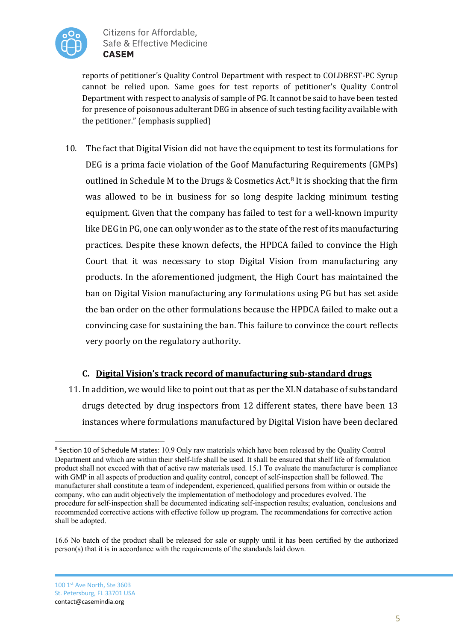

reports of petitioner's Quality Control Department with respect to COLDBEST-PC Syrup cannot be relied upon. Same goes for test reports of petitioner's Quality Control Department with respect to analysis of sample of PG. It cannot be said to have been tested for presence of poisonous adulterant DEG in absence of such testing facility available with the petitioner." (emphasis supplied)

10. The fact that Digital Vision did not have the equipment to test its formulations for DEG is a prima facie violation of the Goof Manufacturing Requirements (GMPs) outlined in Schedule M to the Drugs & Cosmetics Act.<sup>8</sup> It is shocking that the firm was allowed to be in business for so long despite lacking minimum testing equipment. Given that the company has failed to test for a well-known impurity like DEG in PG, one can only wonder as to the state of the rest of its manufacturing practices. Despite these known defects, the HPDCA failed to convince the High Court that it was necessary to stop Digital Vision from manufacturing any products. In the aforementioned judgment, the High Court has maintained the ban on Digital Vision manufacturing any formulations using PG but has set aside the ban order on the other formulations because the HPDCA failed to make out a convincing case for sustaining the ban. This failure to convince the court reflects very poorly on the regulatory authority.

## **C.** <u>Digital Vision's track record of manufacturing sub-standard drugs</u>

11. In addition, we would like to point out that as per the XLN database of substandard drugs detected by drug inspectors from 12 different states, there have been 13 instances where formulations manufactured by Digital Vision have been declared

<sup>8</sup> Section 10 of Schedule M states: 10.9 Only raw materials which have been released by the Quality Control Department and which are within their shelf-life shall be used. It shall be ensured that shelf life of formulation product shall not exceed with that of active raw materials used. 15.1 To evaluate the manufacturer ís compliance with GMP in all aspects of production and quality control, concept of self-inspection shall be followed. The manufacturer shall constitute a team of independent, experienced, qualified persons from within or outside the company, who can audit objectively the implementation of methodology and procedures evolved. The procedure for self-inspection shall be documented indicating self-inspection results; evaluation, conclusions and recommended corrective actions with effective follow up program. The recommendations for corrective action shall be adopted.

<sup>16.6</sup> No batch of the product shall be released for sale or supply until it has been certified by the authorized person(s) that it is in accordance with the requirements of the standards laid down.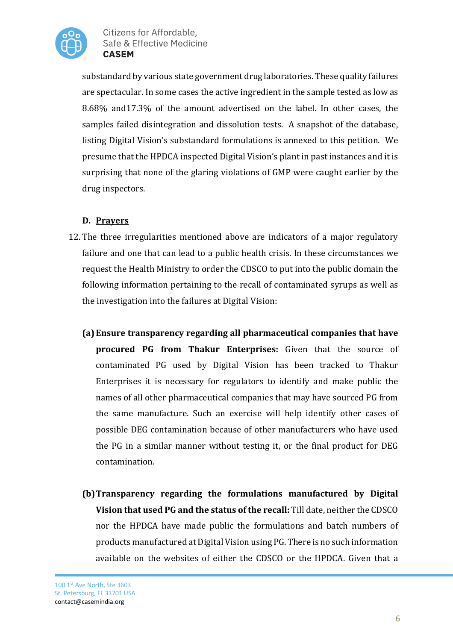

substandard by various state government drug laboratories. These quality failures are spectacular. In some cases the active ingredient in the sample tested as low as 8.68% and17.3% of the amount advertised on the label. In other cases, the samples failed disintegration and dissolution tests. A snapshot of the database, listing Digital Vision's substandard formulations is annexed to this petition. We presume that the HPDCA inspected Digital Vision's plant in past instances and it is surprising that none of the glaring violations of GMP were caught earlier by the drug inspectors.

## **D. Prayers**

- 12. The three irregularities mentioned above are indicators of a major regulatory failure and one that can lead to a public health crisis. In these circumstances we request the Health Ministry to order the CDSCO to put into the public domain the following information pertaining to the recall of contaminated syrups as well as the investigation into the failures at Digital Vision:
	- **(a) Ensure transparency regarding all pharmaceutical companies that have procured PG from Thakur Enterprises:** Given that the source of contaminated PG used by Digital Vision has been tracked to Thakur Enterprises it is necessary for regulators to identify and make public the names of all other pharmaceutical companies that may have sourced PG from the same manufacture. Such an exercise will help identify other cases of possible DEG contamination because of other manufacturers who have used the PG in a similar manner without testing it, or the final product for DEG contamination.
	- **(b)Transparency regarding the formulations manufactured by Digital Vision that used PG and the status of the recall:** Till date, neither the CDSCO nor the HPDCA have made public the formulations and batch numbers of products manufactured at Digital Vision using PG. There is no such information available on the websites of either the CDSCO or the HPDCA. Given that a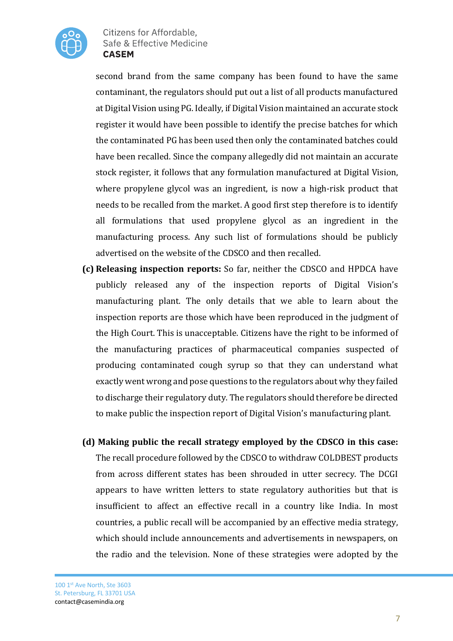

second brand from the same company has been found to have the same contaminant, the regulators should put out a list of all products manufactured at Digital Vision using PG. Ideally, if Digital Vision maintained an accurate stock register it would have been possible to identify the precise batches for which the contaminated PG has been used then only the contaminated batches could have been recalled. Since the company allegedly did not maintain an accurate stock register, it follows that any formulation manufactured at Digital Vision, where propylene glycol was an ingredient, is now a high-risk product that needs to be recalled from the market. A good first step therefore is to identify all formulations that used propylene glycol as an ingredient in the manufacturing process. Any such list of formulations should be publicly advertised on the website of the CDSCO and then recalled.

- **(c) Releasing inspection reports:** So far, neither the CDSCO and HPDCA have publicly released any of the inspection reports of Digital Vision's manufacturing plant. The only details that we able to learn about the inspection reports are those which have been reproduced in the judgment of the High Court. This is unacceptable. Citizens have the right to be informed of the manufacturing practices of pharmaceutical companies suspected of producing contaminated cough syrup so that they can understand what exactly went wrong and pose questions to the regulators about why they failed to discharge their regulatory duty. The regulators should therefore be directed to make public the inspection report of Digital Vision's manufacturing plant.
- **(d)** Making public the recall strategy employed by the CDSCO in this case: The recall procedure followed by the CDSCO to withdraw COLDBEST products from across different states has been shrouded in utter secrecy. The DCGI appears to have written letters to state regulatory authorities but that is insufficient to affect an effective recall in a country like India. In most countries, a public recall will be accompanied by an effective media strategy, which should include announcements and advertisements in newspapers, on the radio and the television. None of these strategies were adopted by the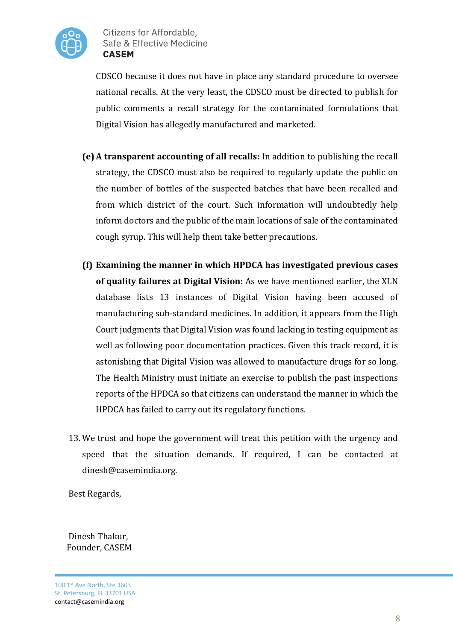

CDSCO because it does not have in place any standard procedure to oversee national recalls. At the very least, the CDSCO must be directed to publish for public comments a recall strategy for the contaminated formulations that Digital Vision has allegedly manufactured and marketed.

- **(e)** A transparent accounting of all recalls: In addition to publishing the recall strategy, the CDSCO must also be required to regularly update the public on the number of bottles of the suspected batches that have been recalled and from which district of the court. Such information will undoubtedly help inform doctors and the public of the main locations of sale of the contaminated cough syrup. This will help them take better precautions.
- **(f)** Examining the manner in which HPDCA has investigated previous cases of quality failures at Digital Vision: As we have mentioned earlier, the XLN database lists 13 instances of Digital Vision having been accused of manufacturing sub-standard medicines. In addition, it appears from the High Court judgments that Digital Vision was found lacking in testing equipment as well as following poor documentation practices. Given this track record, it is astonishing that Digital Vision was allowed to manufacture drugs for so long. The Health Ministry must initiate an exercise to publish the past inspections reports of the HPDCA so that citizens can understand the manner in which the HPDCA has failed to carry out its regulatory functions.
- 13. We trust and hope the government will treat this petition with the urgency and speed that the situation demands. If required, I can be contacted at dinesh@casemindia.org.

Best Regards,

Dinesh Thakur, Founder, CASEM

100 1st Ave North, Ste 3603 St. Petersburg, FL 33701 USA contact@casemindia.org